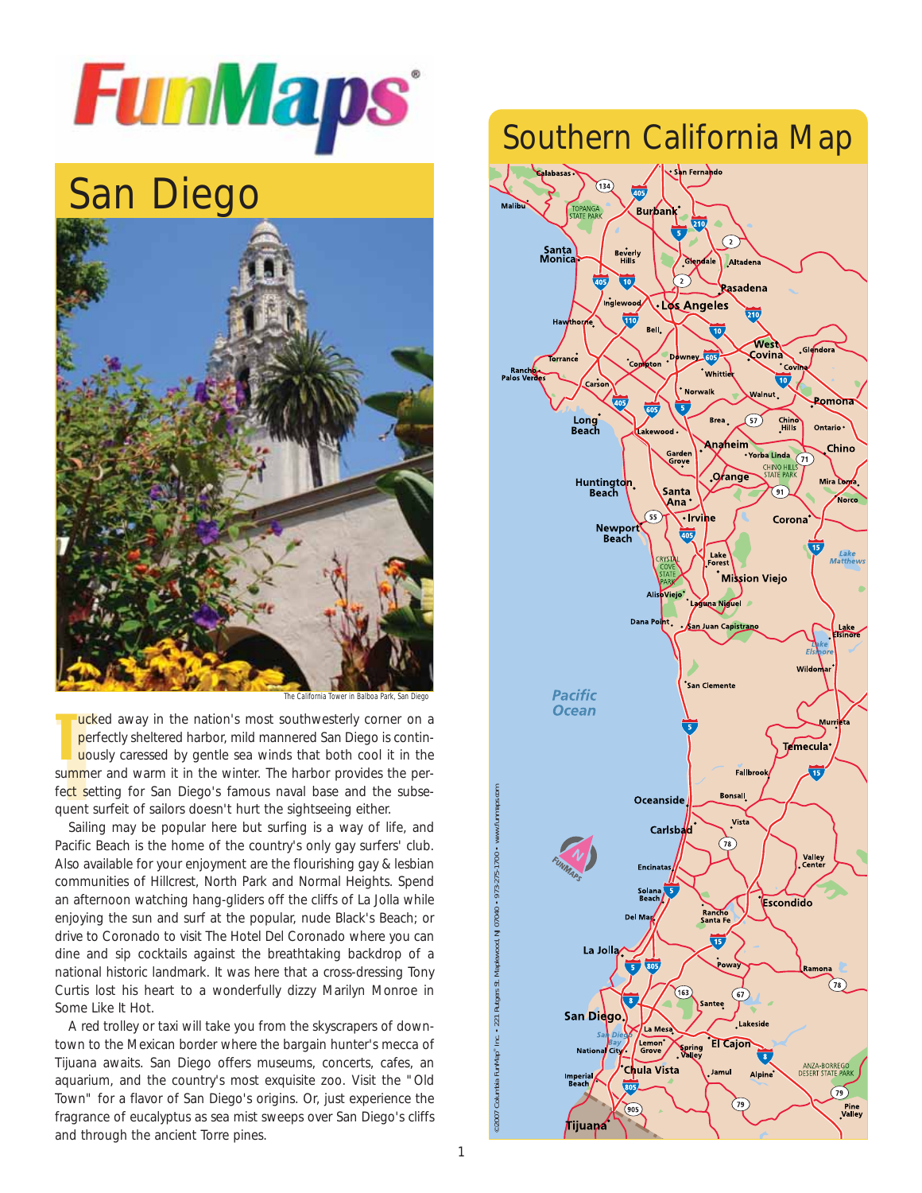

# San Diego



The California Tower in Balboa Park, San Diego

The califorma lower in Balosa Pan<br>
perfectly sheltered harbor, mild mannered San Diego is<br>
uously caressed by gentle sea winds that both cool if<br>
summer and warm it in the winter. The harbor provides t<br>
fect setting for Sa T ucked away in the nation's most southwesterly corner on a perfectly sheltered harbor, mild mannered San Diego is continuously caressed by gentle sea winds that both cool it in the summer and warm it in the winter. The harbor provides the perfect setting for San Diego's famous naval base and the subse-

Sailing may be popular here but surfing is a way of life, and Pacific Beach is the home of the country's only gay surfers' club. Also available for your enjoyment are the flourishing gay & lesbian communities of Hillcrest, North Park and Normal Heights. Spend an afternoon watching hang-gliders off the cliffs of La Jolla while enjoying the sun and surf at the popular, nude Black's Beach; or drive to Coronado to visit The Hotel Del Coronado where you can dine and sip cocktails against the breathtaking backdrop of a national historic landmark. It was here that a cross-dressing Tony Curtis lost his heart to a wonderfully dizzy Marilyn Monroe in Some Like It Hot.

A red trolley or taxi will take you from the skyscrapers of downtown to the Mexican border where the bargain hunter's mecca of Tijuana awaits. San Diego offers museums, concerts, cafes, an aquarium, and the country's most exquisite zoo. Visit the "Old Town" for a flavor of San Diego's origins. Or, just experience the fragrance of eucalyptus as sea mist sweeps over San Diego's cliffs and through the ancient Torre pines.

### Southern California Map

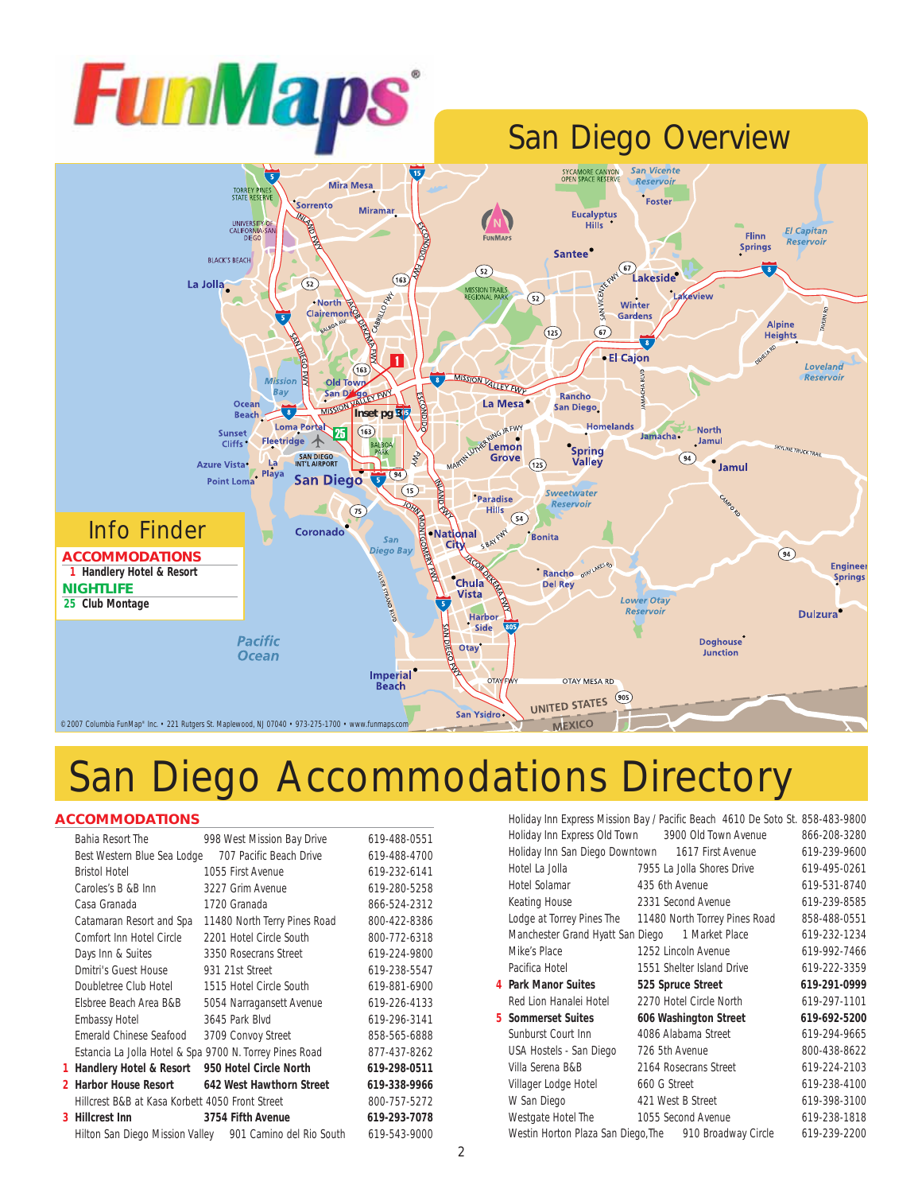



## San Diego Accommodations Directory

#### **ACCOMMODATIONS**

|   | Bahia Resort The                                         | 998 West Mission Bay Drive   | 619-488-0551 |
|---|----------------------------------------------------------|------------------------------|--------------|
|   | Best Western Blue Sea Lodge                              | 707 Pacific Beach Drive      | 619-488-4700 |
|   | <b>Bristol Hotel</b>                                     | 1055 First Avenue            | 619-232-6141 |
|   | Caroles's B &B Inn                                       | 3227 Grim Avenue             | 619-280-5258 |
|   | Casa Granada                                             | 1720 Granada                 | 866-524-2312 |
|   | Catamaran Resort and Spa                                 | 11480 North Terry Pines Road | 800-422-8386 |
|   | Comfort Inn Hotel Circle                                 | 2201 Hotel Circle South      | 800-772-6318 |
|   | Days Inn & Suites                                        | 3350 Rosecrans Street        | 619-224-9800 |
|   | Dmitri's Guest House                                     | 931 21st Street              | 619-238-5547 |
|   | Doubletree Club Hotel                                    | 1515 Hotel Circle South      | 619-881-6900 |
|   | Elsbree Beach Area B&B                                   | 5054 Narragansett Avenue     | 619-226-4133 |
|   | <b>Embassy Hotel</b>                                     | 3645 Park Blvd               | 619-296-3141 |
|   | Emerald Chinese Seafood                                  | 3709 Convoy Street           | 858-565-6888 |
|   | Estancia La Jolla Hotel & Spa 9700 N. Torrey Pines Road  |                              | 877-437-8262 |
| 1 | Handlery Hotel & Resort                                  | 950 Hotel Circle North       | 619-298-0511 |
|   | 2 Harbor House Resort                                    | 642 West Hawthorn Street     | 619-338-9966 |
|   | Hillcrest B&B at Kasa Korbett 4050 Front Street          |                              | 800-757-5272 |
|   | 3 Hillcrest Inn                                          | 3754 Fifth Avenue            | 619-293-7078 |
|   | Hilton San Diego Mission Valley 901 Camino del Rio South |                              | 619-543-9000 |

| Holiday Inn Express Mission Bay / Pacific Beach 4610 De Soto St. 858-483-9800 |                            |  |              |
|-------------------------------------------------------------------------------|----------------------------|--|--------------|
| Holiday Inn Express Old Town 3900 Old Town Avenue                             |                            |  | 866-208-3280 |
| Holiday Inn San Diego Downtown 1617 First Avenue                              |                            |  | 619-239-9600 |
| Hotel La Jolla                                                                | 7955 La Jolla Shores Drive |  | 619-495-0261 |
| Hotel Solamar                                                                 | 435 6th Avenue             |  | 619-531-8740 |
| Keating House                                                                 | 2331 Second Avenue         |  | 619-239-8585 |
| Lodge at Torrey Pines The 11480 North Torrey Pines Road                       |                            |  | 858-488-0551 |
| Manchester Grand Hyatt San Diego 1 Market Place                               |                            |  | 619-232-1234 |
| Mike's Place                                                                  | 1252 Lincoln Avenue        |  | 619-992-7466 |
| Pacifica Hotel                                                                | 1551 Shelter Island Drive  |  | 619-222-3359 |
| 4 Park Manor Suites                                                           | 525 Spruce Street          |  | 619-291-0999 |
| Red Lion Hanalei Hotel                                                        | 2270 Hotel Circle North    |  | 619-297-1101 |
| 5 Sommerset Suites                                                            | 606 Washington Street      |  | 619-692-5200 |
| Sunburst Court Inn                                                            | 4086 Alabama Street        |  | 619-294-9665 |
| USA Hostels - San Diego                                                       | 726 5th Avenue             |  | 800-438-8622 |
| Villa Serena B&B                                                              | 2164 Rosecrans Street      |  | 619-224-2103 |
| Villager Lodge Hotel                                                          | 660 G Street               |  | 619-238-4100 |
| W San Diego                                                                   | 421 West B Street          |  | 619-398-3100 |
| Westgate Hotel The                                                            | 1055 Second Avenue         |  | 619-238-1818 |
| Westin Horton Plaza San Diego. The 910 Broadway Circle                        |                            |  | 619-239-2200 |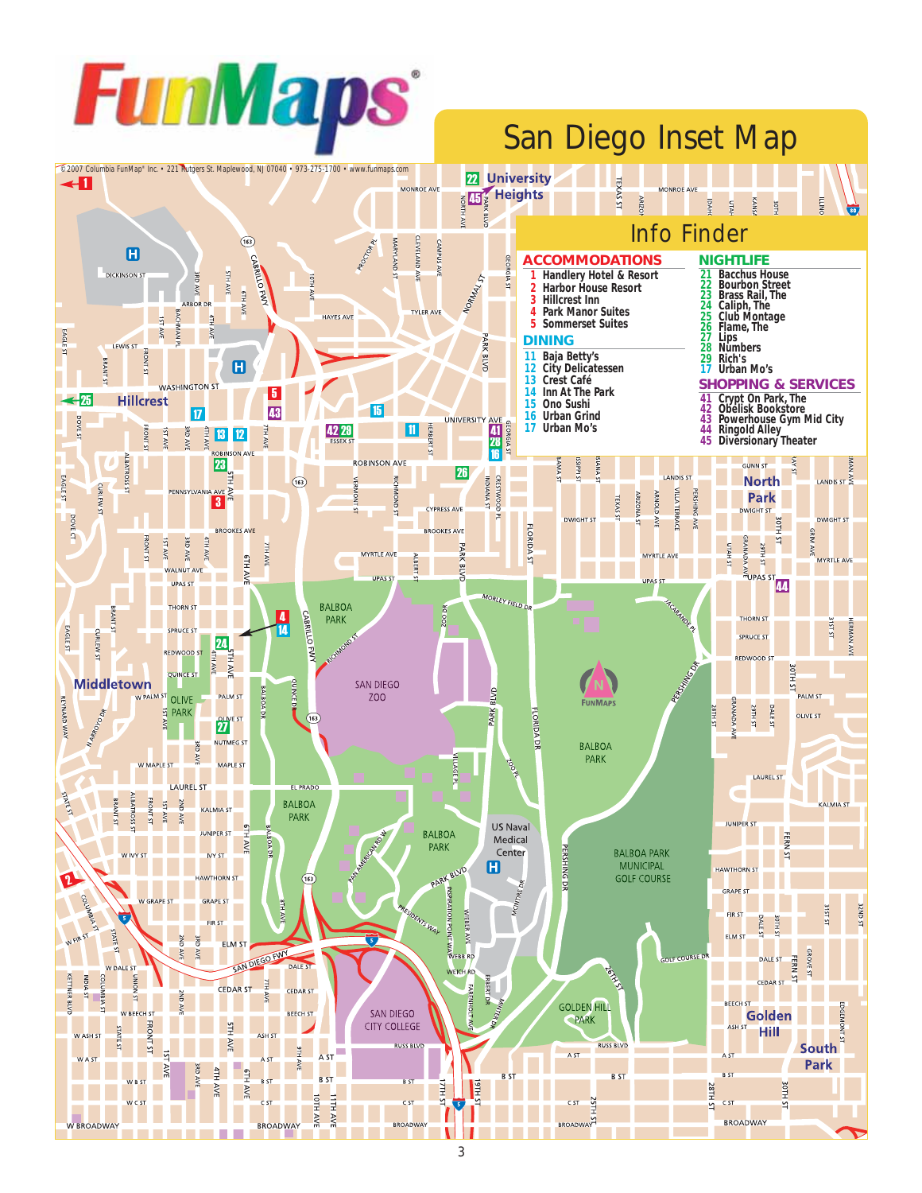

# San Diego Inset Map